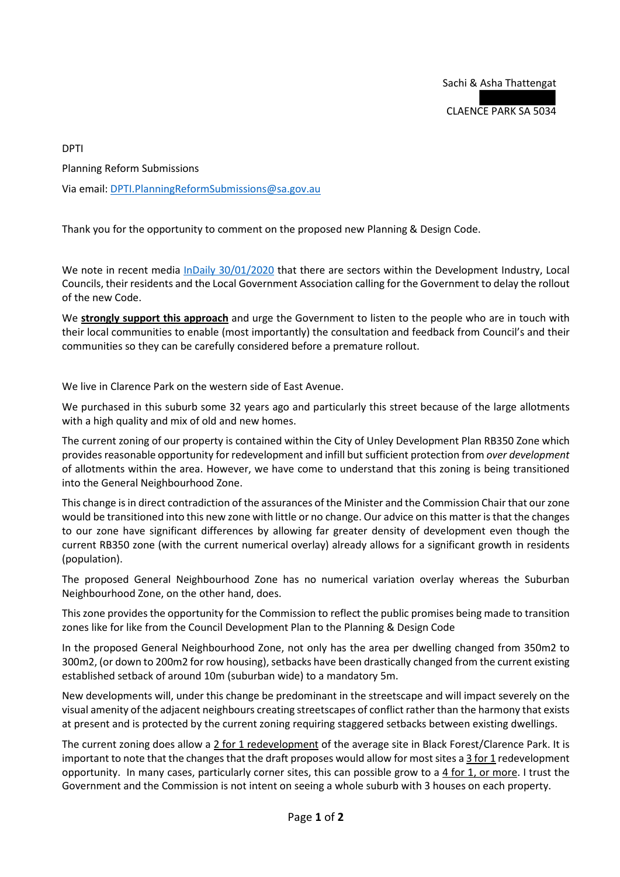DPTI

Planning Reform Submissions

Via email: [DPTI.PlanningReformSubmissions@sa.gov.au](mailto:DPTI.PlanningReformSubmissions@sa.gov.au)

Thank you for the opportunity to comment on the proposed new Planning & Design Code.

We note in recent media [InDaily 30/01/2020](https://indaily.com.au/news/local/2020/01/30/govt-flags-delaying-reforms-after-e-planning-guru-quits/) that there are sectors within the Development Industry, Local Councils, their residents and the Local Government Association calling for the Government to delay the rollout of the new Code.

We **strongly support this approach** and urge the Government to listen to the people who are in touch with their local communities to enable (most importantly) the consultation and feedback from Council's and their communities so they can be carefully considered before a premature rollout.

We live in Clarence Park on the western side of East Avenue.

We purchased in this suburb some 32 years ago and particularly this street because of the large allotments with a high quality and mix of old and new homes.

The current zoning of our property is contained within the City of Unley Development Plan RB350 Zone which provides reasonable opportunity for redevelopment and infill but sufficient protection from *over development* of allotments within the area. However, we have come to understand that this zoning is being transitioned into the General Neighbourhood Zone.

This change is in direct contradiction of the assurances of the Minister and the Commission Chair that our zone would be transitioned into this new zone with little or no change. Our advice on this matter is that the changes to our zone have significant differences by allowing far greater density of development even though the current RB350 zone (with the current numerical overlay) already allows for a significant growth in residents (population).

The proposed General Neighbourhood Zone has no numerical variation overlay whereas the Suburban Neighbourhood Zone, on the other hand, does.

This zone provides the opportunity for the Commission to reflect the public promises being made to transition zones like for like from the Council Development Plan to the Planning & Design Code

In the proposed General Neighbourhood Zone, not only has the area per dwelling changed from 350m2 to 300m2, (or down to 200m2 for row housing), setbacks have been drastically changed from the current existing established setback of around 10m (suburban wide) to a mandatory 5m.

New developments will, under this change be predominant in the streetscape and will impact severely on the visual amenity of the adjacent neighbours creating streetscapes of conflict rather than the harmony that exists at present and is protected by the current zoning requiring staggered setbacks between existing dwellings.

The current zoning does allow a 2 for 1 redevelopment of the average site in Black Forest/Clarence Park. It is important to note that the changes that the draft proposes would allow for most sites a 3 for 1 redevelopment opportunity. In many cases, particularly corner sites, this can possible grow to a 4 for 1, or more. I trust the Government and the Commission is not intent on seeing a whole suburb with 3 houses on each property.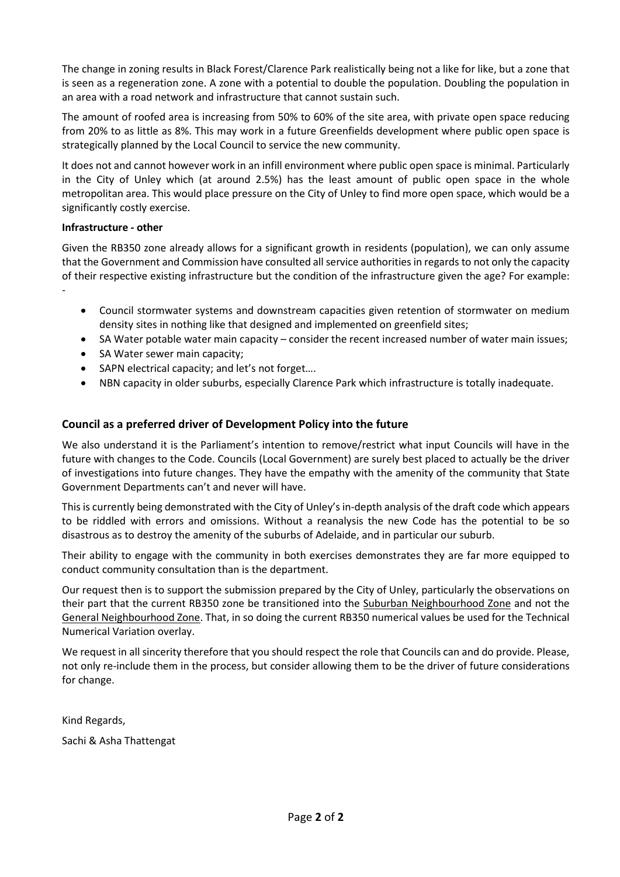The change in zoning results in Black Forest/Clarence Park realistically being not a like for like, but a zone that is seen as a regeneration zone. A zone with a potential to double the population. Doubling the population in an area with a road network and infrastructure that cannot sustain such.

The amount of roofed area is increasing from 50% to 60% of the site area, with private open space reducing from 20% to as little as 8%. This may work in a future Greenfields development where public open space is strategically planned by the Local Council to service the new community.

It does not and cannot however work in an infill environment where public open space is minimal. Particularly in the City of Unley which (at around 2.5%) has the least amount of public open space in the whole metropolitan area. This would place pressure on the City of Unley to find more open space, which would be a significantly costly exercise.

## **Infrastructure - other**

Given the RB350 zone already allows for a significant growth in residents (population), we can only assume that the Government and Commission have consulted all service authorities in regards to not only the capacity of their respective existing infrastructure but the condition of the infrastructure given the age? For example: -

- Council stormwater systems and downstream capacities given retention of stormwater on medium density sites in nothing like that designed and implemented on greenfield sites;
- SA Water potable water main capacity consider the recent increased number of water main issues;
- SA Water sewer main capacity;
- SAPN electrical capacity; and let's not forget....
- NBN capacity in older suburbs, especially Clarence Park which infrastructure is totally inadequate.

## **Council as a preferred driver of Development Policy into the future**

We also understand it is the Parliament's intention to remove/restrict what input Councils will have in the future with changes to the Code. Councils (Local Government) are surely best placed to actually be the driver of investigations into future changes. They have the empathy with the amenity of the community that State Government Departments can't and never will have.

This is currently being demonstrated with the City of Unley's in-depth analysis of the draft code which appears to be riddled with errors and omissions. Without a reanalysis the new Code has the potential to be so disastrous as to destroy the amenity of the suburbs of Adelaide, and in particular our suburb.

Their ability to engage with the community in both exercises demonstrates they are far more equipped to conduct community consultation than is the department.

Our request then is to support the submission prepared by the City of Unley, particularly the observations on their part that the current RB350 zone be transitioned into the Suburban Neighbourhood Zone and not the General Neighbourhood Zone. That, in so doing the current RB350 numerical values be used for the Technical Numerical Variation overlay.

We request in all sincerity therefore that you should respect the role that Councils can and do provide. Please, not only re-include them in the process, but consider allowing them to be the driver of future considerations for change.

Kind Regards,

Sachi & Asha Thattengat